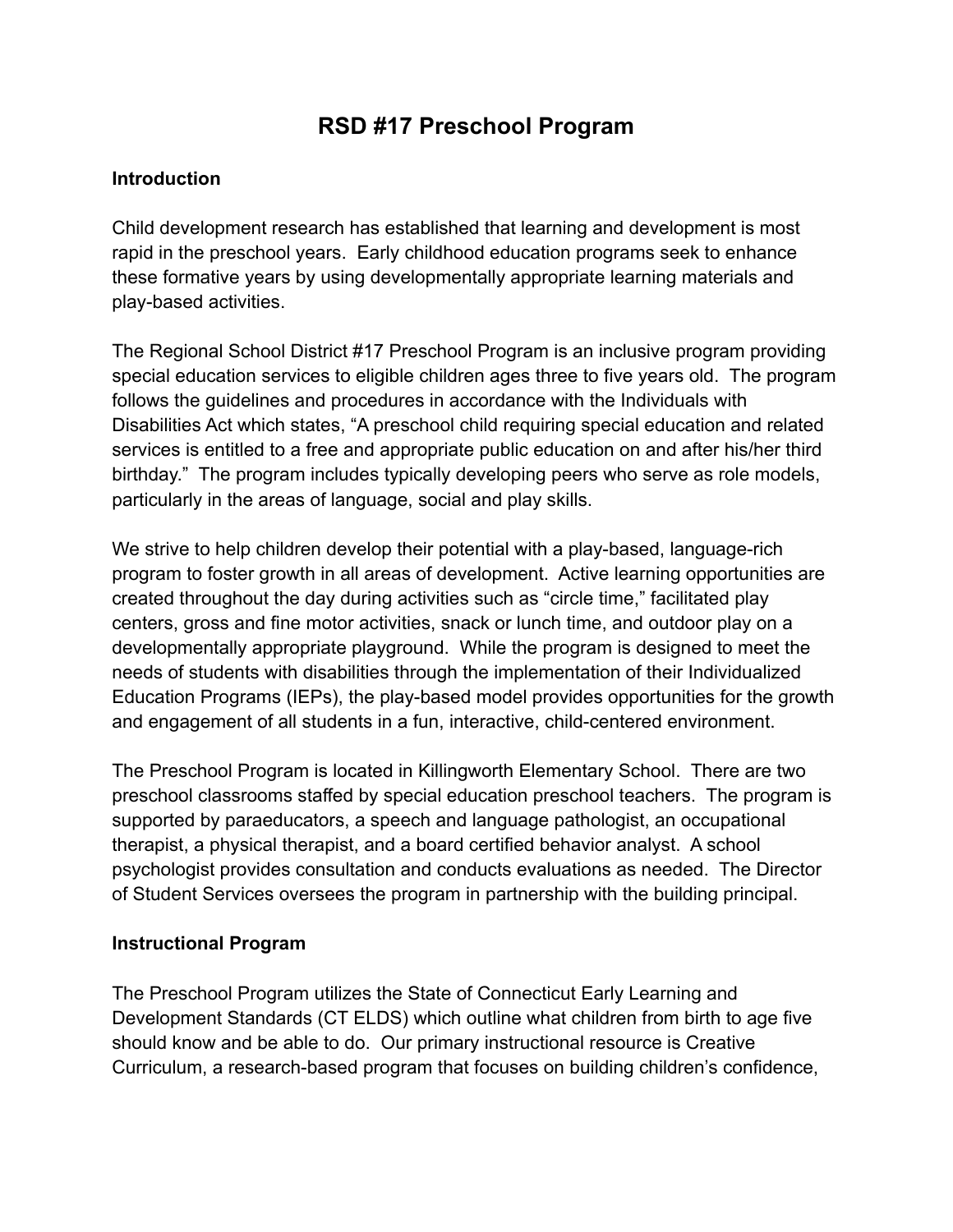# **RSD #17 Preschool Program**

#### **Introduction**

Child development research has established that learning and development is most rapid in the preschool years. Early childhood education programs seek to enhance these formative years by using developmentally appropriate learning materials and play-based activities.

The Regional School District #17 Preschool Program is an inclusive program providing special education services to eligible children ages three to five years old. The program follows the guidelines and procedures in accordance with the Individuals with Disabilities Act which states, "A preschool child requiring special education and related services is entitled to a free and appropriate public education on and after his/her third birthday." The program includes typically developing peers who serve as role models, particularly in the areas of language, social and play skills.

We strive to help children develop their potential with a play-based, language-rich program to foster growth in all areas of development. Active learning opportunities are created throughout the day during activities such as "circle time," facilitated play centers, gross and fine motor activities, snack or lunch time, and outdoor play on a developmentally appropriate playground. While the program is designed to meet the needs of students with disabilities through the implementation of their Individualized Education Programs (IEPs), the play-based model provides opportunities for the growth and engagement of all students in a fun, interactive, child-centered environment.

The Preschool Program is located in Killingworth Elementary School. There are two preschool classrooms staffed by special education preschool teachers. The program is supported by paraeducators, a speech and language pathologist, an occupational therapist, a physical therapist, and a board certified behavior analyst. A school psychologist provides consultation and conducts evaluations as needed. The Director of Student Services oversees the program in partnership with the building principal.

#### **Instructional Program**

The Preschool Program utilizes the State of Connecticut Early Learning and Development Standards (CT ELDS) which outline what children from birth to age five should know and be able to do. Our primary instructional resource is Creative Curriculum, a research-based program that focuses on building children's confidence,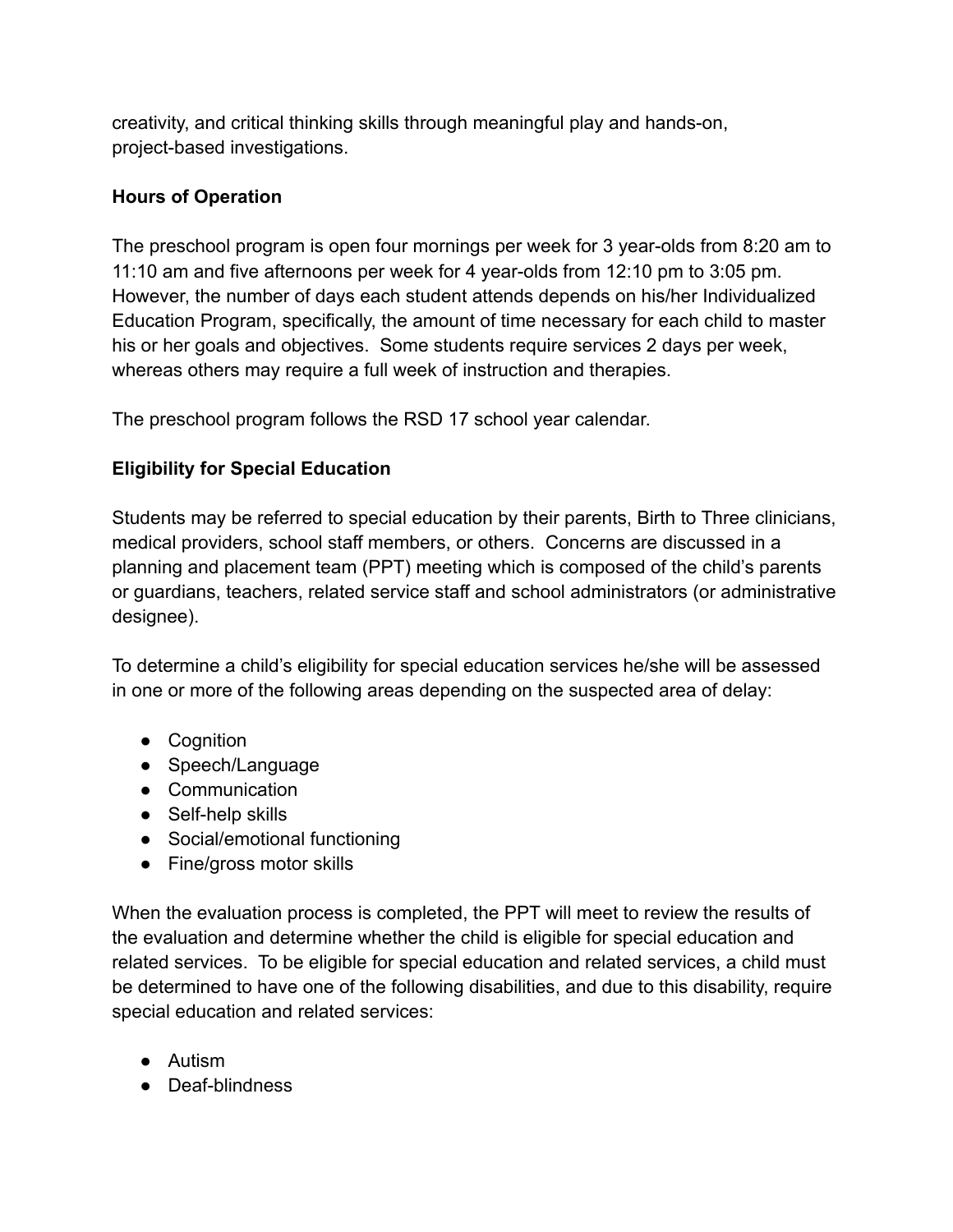creativity, and critical thinking skills through meaningful play and hands-on, project-based investigations.

## **Hours of Operation**

The preschool program is open four mornings per week for 3 year-olds from 8:20 am to 11:10 am and five afternoons per week for 4 year-olds from 12:10 pm to 3:05 pm. However, the number of days each student attends depends on his/her Individualized Education Program, specifically, the amount of time necessary for each child to master his or her goals and objectives. Some students require services 2 days per week, whereas others may require a full week of instruction and therapies.

The preschool program follows the RSD 17 school year calendar.

## **Eligibility for Special Education**

Students may be referred to special education by their parents, Birth to Three clinicians, medical providers, school staff members, or others. Concerns are discussed in a planning and placement team (PPT) meeting which is composed of the child's parents or guardians, teachers, related service staff and school administrators (or administrative designee).

To determine a child's eligibility for special education services he/she will be assessed in one or more of the following areas depending on the suspected area of delay:

- Cognition
- Speech/Language
- Communication
- Self-help skills
- Social/emotional functioning
- Fine/gross motor skills

When the evaluation process is completed, the PPT will meet to review the results of the evaluation and determine whether the child is eligible for special education and related services. To be eligible for special education and related services, a child must be determined to have one of the following disabilities, and due to this disability, require special education and related services:

- Autism
- Deaf-blindness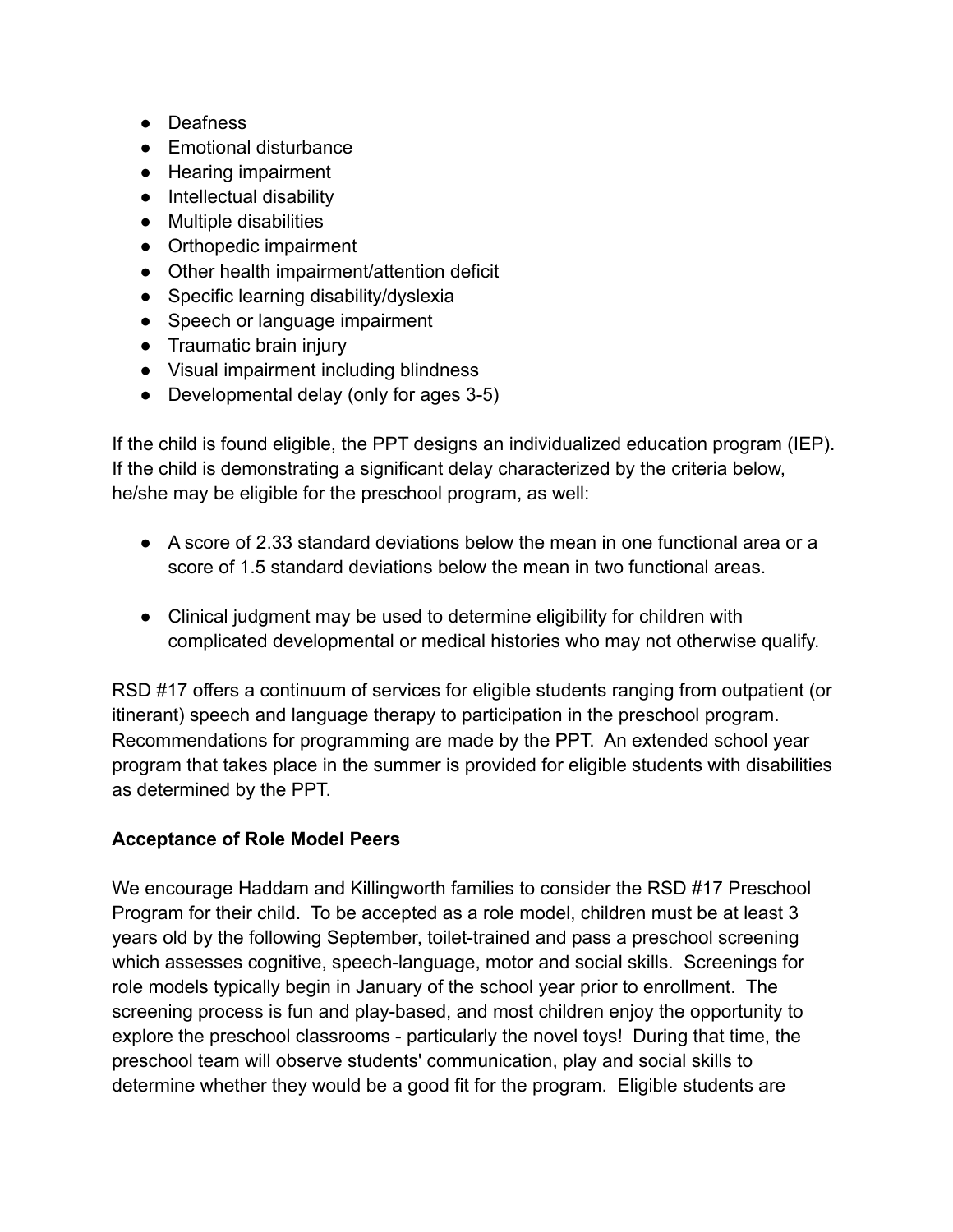- Deafness
- Emotional disturbance
- Hearing impairment
- Intellectual disability
- Multiple disabilities
- Orthopedic impairment
- Other health impairment/attention deficit
- Specific learning disability/dyslexia
- Speech or language impairment
- Traumatic brain injury
- Visual impairment including blindness
- Developmental delay (only for ages 3-5)

If the child is found eligible, the PPT designs an individualized education program (IEP). If the child is demonstrating a significant delay characterized by the criteria below, he/she may be eligible for the preschool program, as well:

- A score of 2.33 standard deviations below the mean in one functional area or a score of 1.5 standard deviations below the mean in two functional areas.
- Clinical judgment may be used to determine eligibility for children with complicated developmental or medical histories who may not otherwise qualify.

RSD #17 offers a continuum of services for eligible students ranging from outpatient (or itinerant) speech and language therapy to participation in the preschool program. Recommendations for programming are made by the PPT. An extended school year program that takes place in the summer is provided for eligible students with disabilities as determined by the PPT.

## **Acceptance of Role Model Peers**

We encourage Haddam and Killingworth families to consider the RSD #17 Preschool Program for their child. To be accepted as a role model, children must be at least 3 years old by the following September, toilet-trained and pass a preschool screening which assesses cognitive, speech-language, motor and social skills. Screenings for role models typically begin in January of the school year prior to enrollment. The screening process is fun and play-based, and most children enjoy the opportunity to explore the preschool classrooms - particularly the novel toys! During that time, the preschool team will observe students' communication, play and social skills to determine whether they would be a good fit for the program. Eligible students are